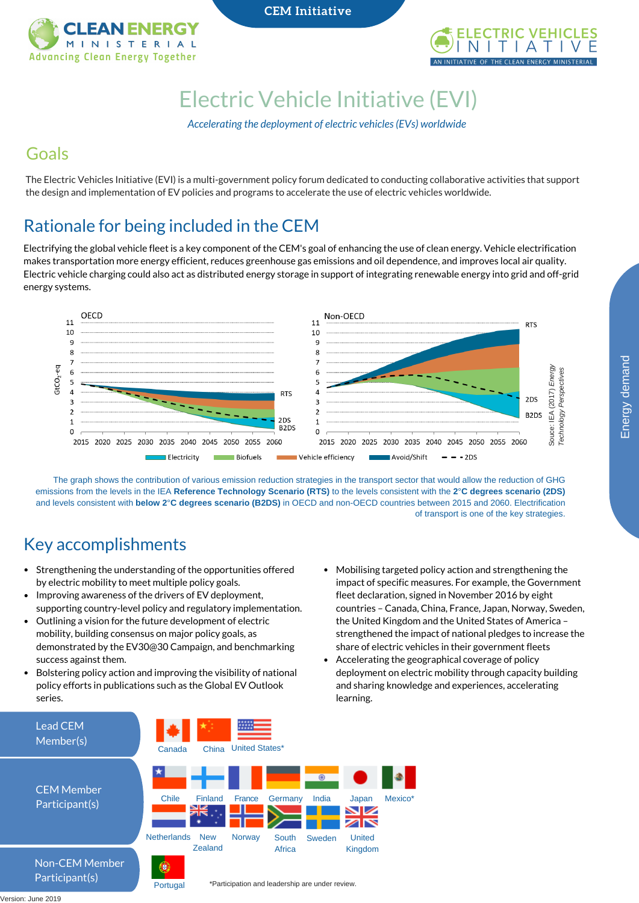

**CEM** Initiative



# Electric Vehicle [Initiative](https://www.iea.org/topics/transport/evi/) (EVI)

*Accelerating the deployment of electric vehicles(EVs) worldwide*

### Goals

The Electric Vehicles Initiative (EVI) is a multi-government policy forum dedicated to conducting collaborative activities that support the design and implementation of EV policies and programs to accelerate the use of electric vehicles worldwide.

# Rationale for being included in the CEM

Electrifying the global vehicle fleet is a key component of the CEM's goal of enhancing the use of clean energy. Vehicle electrification makes transportation more energy efficient, reduces greenhouse gas emissions and oil dependence, and improves local air quality. Electric vehicle charging could also act as distributed energy storage in support of integrating renewable energy into grid and off-grid energy systems.



The graph shows the contribution of various emission reduction strategies in the transport sector that would allow the reduction of GHG emissions from the levels in the IEA **Reference Technology Scenario (RTS)** to the levels consistent with the **2**°**C degrees scenario (2DS)** and levels consistent with **below 2**°**C degrees scenario (B2DS)** in OECD and non-OECD countries between 2015 and 2060. Electrification of transport is one of the key strategies.

## Key accomplishments

- Strengthening the understanding of the opportunities offered by electric mobility to meet multiple policy goals.
- Improving awareness of the drivers of EV deployment, supporting country-level policy and regulatory implementation.
- Outlining a vision for the future development of electric mobility, building consensus on major policy goals, as demonstrated by the EV30@30 Campaign, and benchmarking success against them.
- Bolstering policy action and improving the visibility of national policy efforts in publications such as the Global EV Outlook series.

Portugal

- Mobilising targeted policy action and strengthening the impact of specific measures. For example, the Government fleet declaration, signed in November 2016 by eight countries – Canada, China, France, Japan, Norway, Sweden, the United Kingdom and the United States of America – strengthened the impact of national pledges to increase the share of electric vehicles in their government fleets
- Accelerating the geographical coverage of policy deployment on electric mobility through capacity building and sharing knowledge and experiences, accelerating learning.



demand